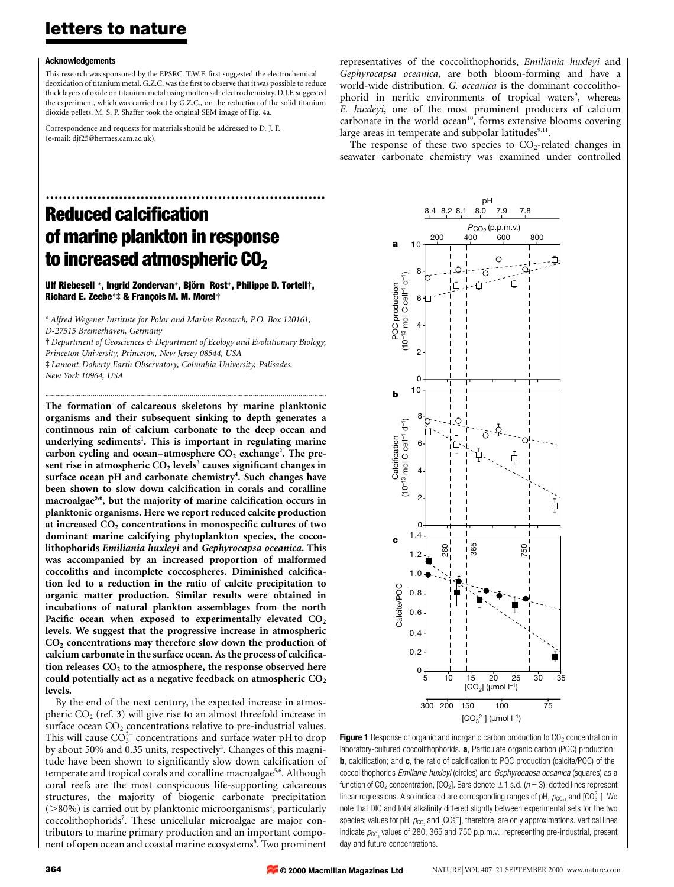### letters to nature

#### Acknowledgements

This research was sponsored by the EPSRC. T.W.F. first suggested the electrochemical deoxidation of titanium metal. G.Z.C. was the first to observe that it was possible to reduce thick layers of oxide on titanium metal using molten salt electrochemistry. D.J.F. suggested the experiment, which was carried out by G.Z.C., on the reduction of the solid titanium dioxide pellets. M. S. P. Shaffer took the original SEM image of Fig. 4a.

Correspondence and requests for materials should be addressed to D. J. F. (e-mail: djf25@hermes.cam.ac.uk).

representatives of the coccolithophorids, Emiliania huxleyi and Gephyrocapsa oceanica, are both bloom-forming and have a world-wide distribution. G. oceanica is the dominant coccolithophorid in neritic environments of tropical waters<sup>9</sup>, whereas E. huxleyi, one of the most prominent producers of calcium carbonate in the world ocean<sup>10</sup>, forms extensive blooms covering large areas in temperate and subpolar latitudes $9,11$ .

The response of these two species to  $CO<sub>2</sub>$ -related changes in seawater carbonate chemistry was examined under controlled

## ................................................................. **Reduced calcification** of marine plankton in response to increased atmospheric CO<sub>2</sub>

Ulf Riebesell \*, Ingrid Zondervan\*, Björn Rost\*, Philippe D. Tortell†, Richard E. Zeebe\*‡ & François M. M. Morel†

\* Alfred Wegener Institute for Polar and Marine Research, P.O. Box 120161, D-27515 Bremerhaven, Germany

² Department of Geosciences & Department of Ecology and Evolutionary Biology, Princeton University, Princeton, New Jersey 08544, USA

..............................................................................................................................................

 $\ddagger$  Lamont-Doherty Earth Observatory, Columbia University, Palisades, New York 10964, USA

The formation of calcareous skeletons by marine planktonic organisms and their subsequent sinking to depth generates a continuous rain of calcium carbonate to the deep ocean and underlying sediments<sup>1</sup>. This is important in regulating marine carbon cycling and ocean–atmosphere  $CO<sub>2</sub>$  exchange<sup>2</sup>. The present rise in atmospheric  $CO<sub>2</sub>$  levels<sup>3</sup> causes significant changes in surface ocean pH and carbonate chemistry<sup>4</sup>. Such changes have been shown to slow down calcification in corals and coralline macroalgae<sup>5,6</sup>, but the majority of marine calcification occurs in planktonic organisms. Here we report reduced calcite production at increased  $CO<sub>2</sub>$  concentrations in monospecific cultures of two dominant marine calcifying phytoplankton species, the coccolithophorids Emiliania huxleyi and Gephyrocapsa oceanica. This was accompanied by an increased proportion of malformed coccoliths and incomplete coccospheres. Diminished calcification led to a reduction in the ratio of calcite precipitation to organic matter production. Similar results were obtained in incubations of natural plankton assemblages from the north Pacific ocean when exposed to experimentally elevated  $CO<sub>2</sub>$ levels. We suggest that the progressive increase in atmospheric  $CO<sub>2</sub>$  concentrations may therefore slow down the production of calcium carbonate in the surface ocean. As the process of calcification releases  $CO<sub>2</sub>$  to the atmosphere, the response observed here could potentially act as a negative feedback on atmospheric  $CO<sub>2</sub>$ levels.

By the end of the next century, the expected increase in atmospheric  $CO<sub>2</sub>$  (ref. 3) will give rise to an almost threefold increase in surface ocean  $CO<sub>2</sub>$  concentrations relative to pre-industrial values. This will cause  $CO_3^{2-}$  concentrations and surface water pH to drop by about 50% and 0.35 units, respectively<sup>4</sup>. Changes of this magnitude have been shown to significantly slow down calcification of temperate and tropical corals and coralline macroalgae<sup>5,6</sup>. Although coral reefs are the most conspicuous life-supporting calcareous structures, the majority of biogenic carbonate precipitation  $($  >80%) is carried out by planktonic microorganisms<sup>1</sup>, particularly coccolithophorids<sup>7</sup>. These unicellular microalgae are major contributors to marine primary production and an important component of open ocean and coastal marine ecosystems<sup>8</sup>. Two prominent





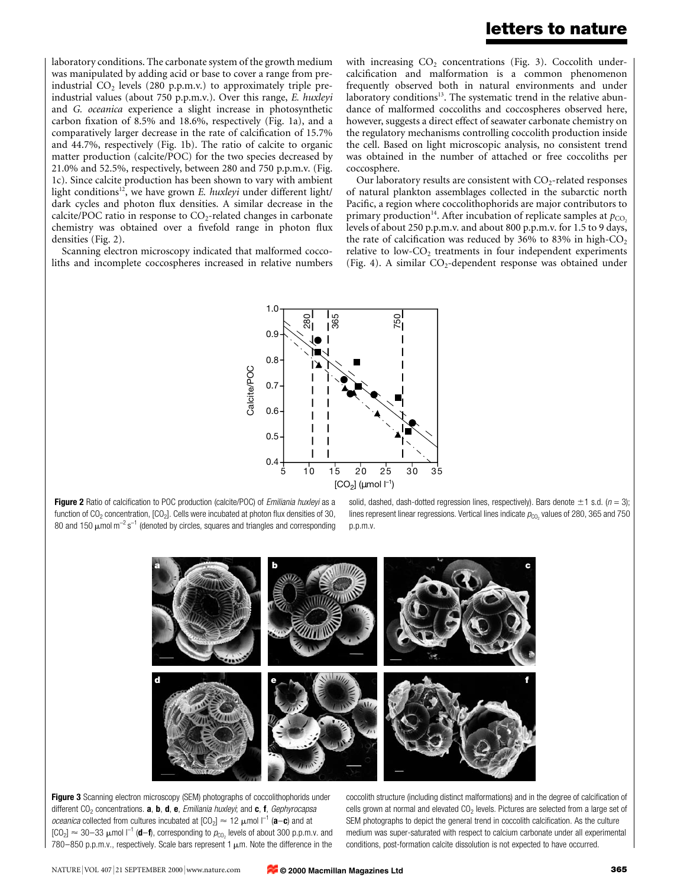### letters to nature

laboratory conditions. The carbonate system of the growth medium was manipulated by adding acid or base to cover a range from preindustrial  $CO<sub>2</sub>$  levels (280 p.p.m.v.) to approximately triple preindustrial values (about 750 p.p.m.v.). Over this range, E. huxleyi and G. oceanica experience a slight increase in photosynthetic carbon fixation of 8.5% and 18.6%, respectively (Fig. 1a), and a comparatively larger decrease in the rate of calcification of 15.7% and 44.7%, respectively (Fig. 1b). The ratio of calcite to organic matter production (calcite/POC) for the two species decreased by 21.0% and 52.5%, respectively, between 280 and 750 p.p.m.v. (Fig. 1c). Since calcite production has been shown to vary with ambient light conditions<sup>12</sup>, we have grown E. huxleyi under different light/ dark cycles and photon flux densities. A similar decrease in the calcite/POC ratio in response to  $CO_2$ -related changes in carbonate chemistry was obtained over a fivefold range in photon flux densities (Fig. 2).

Scanning electron microscopy indicated that malformed coccoliths and incomplete coccospheres increased in relative numbers with increasing  $CO<sub>2</sub>$  concentrations (Fig. 3). Coccolith undercalcification and malformation is a common phenomenon frequently observed both in natural environments and under laboratory conditions $13$ . The systematic trend in the relative abundance of malformed coccoliths and coccospheres observed here, however, suggests a direct effect of seawater carbonate chemistry on the regulatory mechanisms controlling coccolith production inside the cell. Based on light microscopic analysis, no consistent trend was obtained in the number of attached or free coccoliths per coccosphere.

Our laboratory results are consistent with  $CO<sub>2</sub>$ -related responses of natural plankton assemblages collected in the subarctic north Pacific, a region where coccolithophorids are major contributors to primary production<sup>14</sup>. After incubation of replicate samples at  $p_{CO}$ , levels of about 250 p.p.m.v. and about 800 p.p.m.v. for 1.5 to 9 days, the rate of calcification was reduced by 36% to 83% in high- $CO<sub>2</sub>$ relative to low- $CO<sub>2</sub>$  treatments in four independent experiments (Fig. 4). A similar  $CO_2$ -dependent response was obtained under



Figure 2 Ratio of calcification to POC production (calcite/POC) of *Emiliania huxleyi* as a function of  $CO<sub>2</sub>$  concentration,  $[CO<sub>2</sub>]$ . Cells were incubated at photon flux densities of 30, 80 and 150  $\mu$ mol m<sup>-2</sup> s<sup>-1</sup> (denoted by circles, squares and triangles and corresponding

solid, dashed, dash-dotted regression lines, respectively). Bars denote  $\pm 1$  s.d. (n = 3); lines represent linear regressions. Vertical lines indicate  $p_{\text{CO}_2}$  values of 280, 365 and 750 p.p.m.v.



Figure 3 Scanning electron microscopy (SEM) photographs of coccolithophorids under different  $CO<sub>2</sub>$  concentrations. **a, b, d, e,** *Emiliania huxleyi*; and **c**, **f**, *Gephyrocapsa oceanica* collected from cultures incubated at  $[CO_2] \approx 12 \mu$  mol  $I^{-1}$  (a-c) and at  $[CO_2] \approx 30-33$  µmol  $I^{-1}$  (d-f), corresponding to  $p_{CO_2}$  levels of about 300 p.p.m.v. and 780-850 p.p.m.v., respectively. Scale bars represent 1  $\mu$ m. Note the difference in the

coccolith structure (including distinct malformations) and in the degree of calcification of cells grown at normal and elevated  $CO<sub>2</sub>$  levels. Pictures are selected from a large set of SEM photographs to depict the general trend in coccolith calcification. As the culture medium was super-saturated with respect to calcium carbonate under all experimental conditions, post-formation calcite dissolution is not expected to have occurred.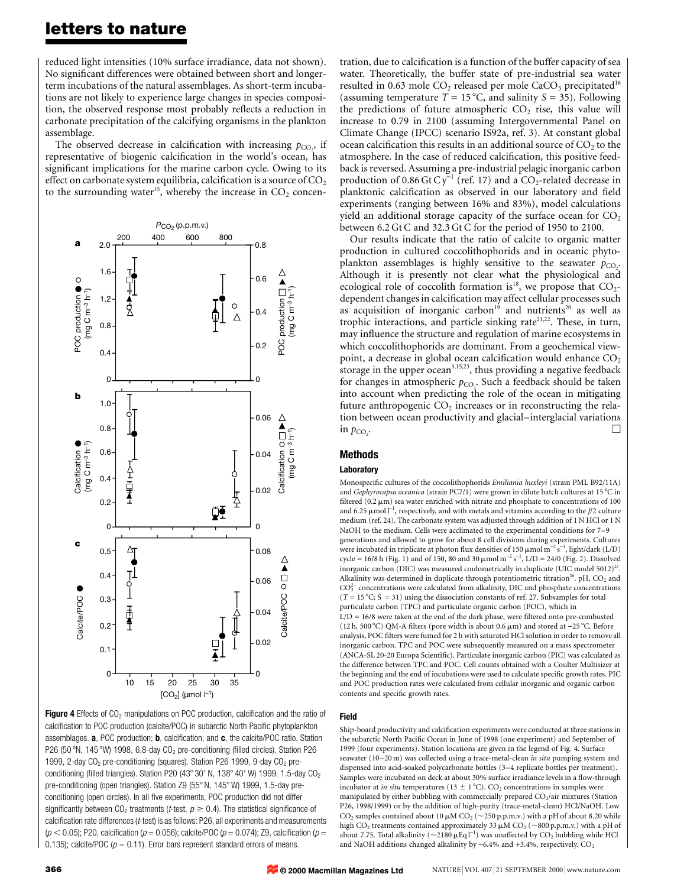### letters to nature

reduced light intensities (10% surface irradiance, data not shown). No significant differences were obtained between short and longerterm incubations of the natural assemblages. As short-term incubations are not likely to experience large changes in species composition, the observed response most probably reflects a reduction in carbonate precipitation of the calcifying organisms in the plankton assemblage.

The observed decrease in calcification with increasing  $p_{CO_2}$ , if representative of biogenic calcification in the world's ocean, has significant implications for the marine carbon cycle. Owing to its effect on carbonate system equilibria, calcification is a source of  $CO<sub>2</sub>$ to the surrounding water<sup>15</sup>, whereby the increase in  $CO<sub>2</sub>$  concen-



Figure 4 Effects of  $CO<sub>2</sub>$  manipulations on POC production, calcification and the ratio of calcification to POC production (calcite/POC) in subarctic North Pacific phytoplankton assemblages. a, POC production; b, calcification; and c, the calcite/POC ratio. Station P26 (50 °N, 145 °W) 1998, 6.8-day CO<sub>2</sub> pre-conditioning (filled circles). Station P26 1999, 2-day  $CO<sub>2</sub>$  pre-conditioning (squares). Station P26 1999, 9-day  $CO<sub>2</sub>$  preconditioning (filled triangles). Station P20 (43° 30' N, 138° 40' W) 1999, 1.5-day CO<sub>2</sub> pre-conditioning (open triangles). Station Z9 (55° N, 145° W) 1999, 1.5-day preconditioning (open circles). In all five experiments, POC production did not differ significantly between CO<sub>2</sub> treatments (t-test,  $p \ge 0.4$ ). The statistical significance of calcification rate differences ( $t$ -test) is as follows: P26, all experiments and measurements  $(p < 0.05)$ ; P20, calcification ( $p = 0.056$ ); calcite/POC ( $p = 0.074$ ); Z9, calcification ( $p = 0.056$ ) 0.135); calcite/POC ( $p = 0.11$ ). Error bars represent standard errors of means.

tration, due to calcification is a function of the buffer capacity of sea water. Theoretically, the buffer state of pre-industrial sea water resulted in 0.63 mole  $CO<sub>2</sub>$  released per mole  $CaCO<sub>3</sub>$  precipitated<sup>16</sup> (assuming temperature  $T = 15^{\circ}$ C, and salinity  $S = 35$ ). Following the predictions of future atmospheric  $CO<sub>2</sub>$  rise, this value will increase to 0.79 in 2100 (assuming Intergovernmental Panel on Climate Change (IPCC) scenario IS92a, ref. 3). At constant global ocean calcification this results in an additional source of  $CO<sub>2</sub>$  to the atmosphere. In the case of reduced calcification, this positive feedback is reversed. Assuming a pre-industrial pelagic inorganic carbon production of 0.86 Gt  $Cy^{-1}$  (ref. 17) and a  $CO_2$ -related decrease in planktonic calcification as observed in our laboratory and field experiments (ranging between 16% and 83%), model calculations yield an additional storage capacity of the surface ocean for  $CO<sub>2</sub>$ between 6.2 Gt C and 32.3 Gt C for the period of 1950 to 2100.

Our results indicate that the ratio of calcite to organic matter production in cultured coccolithophorids and in oceanic phytoplankton assemblages is highly sensitive to the seawater  $p_{CO_2}$ . Although it is presently not clear what the physiological and ecological role of coccolith formation is<sup>18</sup>, we propose that  $CO<sub>2</sub>$ dependent changes in calcification may affect cellular processes such as acquisition of inorganic carbon<sup>19</sup> and nutrients<sup>20</sup> as well as trophic interactions, and particle sinking rate<sup>21,22</sup>. These, in turn, may influence the structure and regulation of marine ecosystems in which coccolithophorids are dominant. From a geochemical viewpoint, a decrease in global ocean calcification would enhance CO<sub>2</sub> storage in the upper ocean<sup>3,15,23</sup>, thus providing a negative feedback for changes in atmospheric  $p_{\text{CO}_2}$ . Such a feedback should be taken into account when predicting the role of the ocean in mitigating future anthropogenic  $CO<sub>2</sub>$  increases or in reconstructing the relation between ocean productivity and glacial-interglacial variations in  $p_{CO}$ . . The contract of the contract of the contract of  $\Box$ 

#### Methods

#### Laboratory

Monospecific cultures of the coccolithophorids Emiliania huxleyi (strain PML B92/11A) and Gephyrocapsa oceanica (strain PC7/1) were grown in dilute batch cultures at  $15^{\circ}$ C in filtered (0.2  $\mu$ m) sea water enriched with nitrate and phosphate to concentrations of 100 and 6.25  $\mu$ mol  $l^{-1}$ , respectively, and with metals and vitamins according to the f/2 culture medium (ref. 24). The carbonate system was adjusted through addition of 1 N HCl or 1 N NaOH to the medium. Cells were acclimated to the experimental conditions for 7-9 generations and allowed to grow for about 8 cell divisions during experiments. Cultures were incubated in triplicate at photon flux densities of 150  $\mu$ mol m<sup>-2</sup> s<sup>-1</sup>, light/dark (L/D) cycle = 16/8 h (Fig. 1) and of 150, 80 and 30  $\mu$ mol m<sup>-2</sup> s<sup>-1</sup>, L/D = 24/0 (Fig. 2). Dissolved inorganic carbon (DIC) was measured coulometrically in duplicate (UIC model  $5012$ )<sup>25</sup> Alkalinity was determined in duplicate through potentiometric titration<sup>26</sup>. pH,  $CO<sub>2</sub>$  and  $CO<sub>3</sub><sup>2-</sup>$  concentrations were calculated from alkalinity, DIC and phosphate concentrations  $(T = 15\text{ °C}; S = 31)$  using the dissociation constants of ref. 27. Subsamples for total particulate carbon (TPC) and particulate organic carbon (POC), which in  $L/D = 16/8$  were taken at the end of the dark phase, were filtered onto pre-combusted (12 h, 500 °C) QM-A filters (pore width is about 0.6  $\mu$ m) and stored at -25 °C. Before analysis, POC filters were fumed for 2 h with saturated HCl solution in order to remove all inorganic carbon. TPC and POC were subsequently measured on a mass spectrometer (ANCA-SL 20-20 Europa Scientific). Particulate inorganic carbon (PIC) was calculated as the difference between TPC and POC. Cell counts obtained with a Coulter Multisizer at the beginning and the end of incubations were used to calculate specific growth rates. PIC and POC production rates were calculated from cellular inorganic and organic carbon contents and specific growth rates.

#### Field

 ${\rm Ship}$ -board productivity and calcification experiments were conducted at three stations in the subarctic North Pacific Ocean in June of 1998 (one experiment) and September of 1999 (four experiments). Station locations are given in the legend of Fig. 4. Surface seawater (10-20 m) was collected using a trace-metal-clean in situ pumping system and dispensed into acid-soaked polycarbonate bottles (3-4 replicate bottles per treatment) Samples were incubated on deck at about 30% surface irradiance levels in a flow-through incubator at *in situ* temperatures (13  $\pm$  1 °C). CO<sub>2</sub> concentrations in samples were manipulated by either bubbling with commercially prepared  $CO_2/a$ ir mixtures (Station P26, 1998/1999) or by the addition of high-purity (trace-metal-clean) HCl/NaOH. Low  $CO_2$  samples contained about 10  $\mu$ M  $CO_2$  ( $\sim$ 250 p.p.m.v.) with a pH of about 8.20 while high CO<sub>2</sub> treatments contained approximately 33  $\mu$ M CO<sub>2</sub> (~800 p.p.m.v.) with a pH of about 7.75. Total alkalinity ( $\sim$ 2180  $\mu$ Eq l<sup>-1</sup>) was unaffected by CO<sub>2</sub> bubbling while HCl and NaOH additions changed alkalinity by  $-6.4\%$  and  $+3.4\%$ , respectively.  $CO<sub>2</sub>$